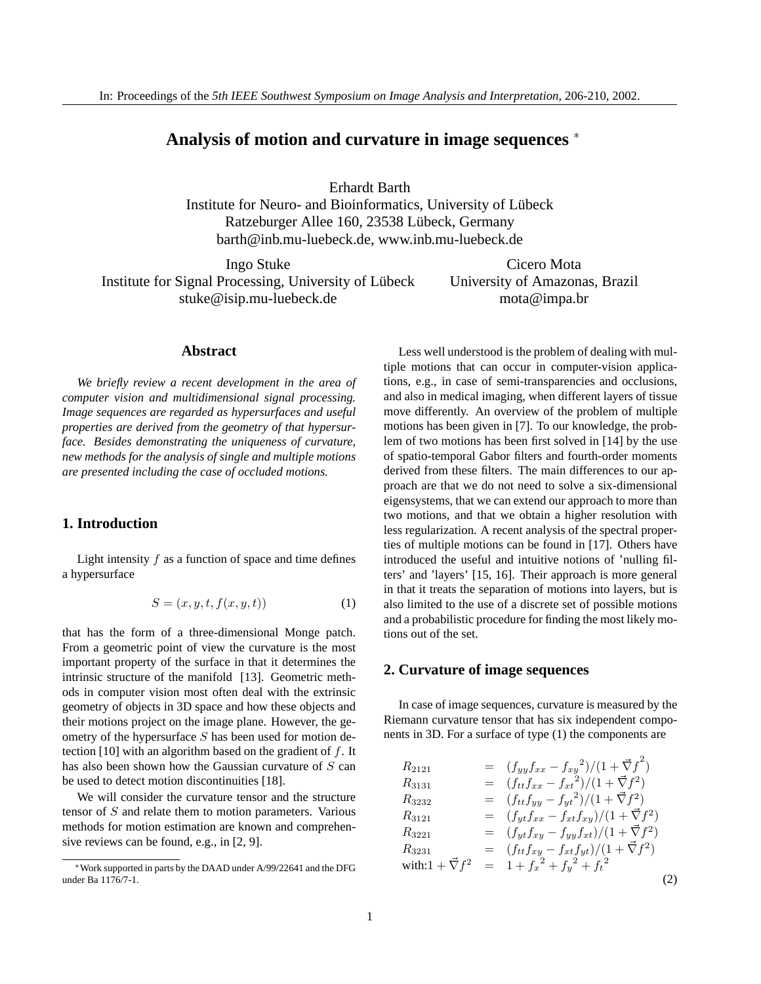# **Analysis of motion and curvature in image sequences** <sup>∗</sup>

Erhardt Barth

Institute for Neuro- and Bioinformatics, University of Lubeck ¨ Ratzeburger Allee 160, 23538 Lübeck, Germany barth@inb.mu-luebeck.de, www.inb.mu-luebeck.de

Ingo Stuke Institute for Signal Processing, University of Lübeck stuke@isip.mu-luebeck.de

Cicero Mota University of Amazonas, Brazil mota@impa.br

#### **Abstract**

*We briefly review a recent development in the area of computer vision and multidimensional signal processing. Image sequences are regarded as hypersurfaces and useful properties are derived from the geometry of that hypersurface. Besides demonstrating the uniqueness of curvature, new methods for the analysis of single and multiple motions are presented including the case of occluded motions.*

## **1. Introduction**

Light intensity  $f$  as a function of space and time defines a hypersurface

$$
S = (x, y, t, f(x, y, t))
$$
\n<sup>(1)</sup>

that has the form of a three-dimensional Monge patch. From a geometric point of view the curvature is the most important property of the surface in that it determines the intrinsic structure of the manifold [13]. Geometric methods in computer vision most often deal with the extrinsic geometry of objects in 3D space and how these objects and their motions project on the image plane. However, the geometry of the hypersurface S has been used for motion detection [10] with an algorithm based on the gradient of  $f$ . It has also been shown how the Gaussian curvature of  $S$  can be used to detect motion discontinuities [18].

We will consider the curvature tensor and the structure tensor of S and relate them to motion parameters. Various methods for motion estimation are known and comprehensive reviews can be found, e.g., in [2, 9].

Less well understood is the problem of dealing with multiple motions that can occur in computer-vision applications, e.g., in case of semi-transparencies and occlusions, and also in medical imaging, when different layers of tissue move differently. An overview of the problem of multiple motions has been given in [7]. To our knowledge, the problem of two motions has been first solved in [14] by the use of spatio-temporal Gabor filters and fourth-order moments derived from these filters. The main differences to our approach are that we do not need to solve a six-dimensional eigensystems, that we can extend our approach to more than two motions, and that we obtain a higher resolution with less regularization. A recent analysis of the spectral properties of multiple motions can be found in [17]. Others have introduced the useful and intuitive notions of 'nulling filters' and 'layers' [15, 16]. Their approach is more general in that it treats the separation of motions into layers, but is also limited to the use of a discrete set of possible motions and a probabilistic procedure for finding the most likely motions out of the set.

## **2. Curvature of image sequences**

In case of image sequences, curvature is measured by the Riemann curvature tensor that has six independent components in 3D. For a surface of type (1) the components are

| $R_{2121}$                   | $=$ $(f_{yy}f_{xx} - f_{xy}^{2})/(1 + \vec{\nabla}f^{2})$ |  |
|------------------------------|-----------------------------------------------------------|--|
| $R_{3131}$                   | $= (f_{tt}f_{xx} - f_{xt}^2)/(1 + \vec{\nabla}f^2)$       |  |
| $R_{3232}$                   | $= (f_{tt}f_{yy} - f_{yt}^{2})/(1 + \vec{\nabla}f^{2})$   |  |
| $R_{3121}$                   | $=$ $(f_{yt}f_{xx} - f_{xt}f_{xy})/(1 + \vec{\nabla}f^2)$ |  |
| $R_{3221}$                   | $=$ $(f_{yt}f_{xy} - f_{yy}f_{xt})/(1 + \vec{\nabla}f^2)$ |  |
| $R_{3231}$                   | $= (f_{tt}f_{xy} - f_{xt}f_{yt})/(1 + \vec{\nabla}f^2)$   |  |
| with: $1 + \vec{\nabla} f^2$ | $= 1 + f_x^2 + f_y^2 + f_t^2$                             |  |
|                              |                                                           |  |

<sup>∗</sup>Work supported in parts by the DAAD under A/99/22641 and the DFG under Ba 1176/7-1.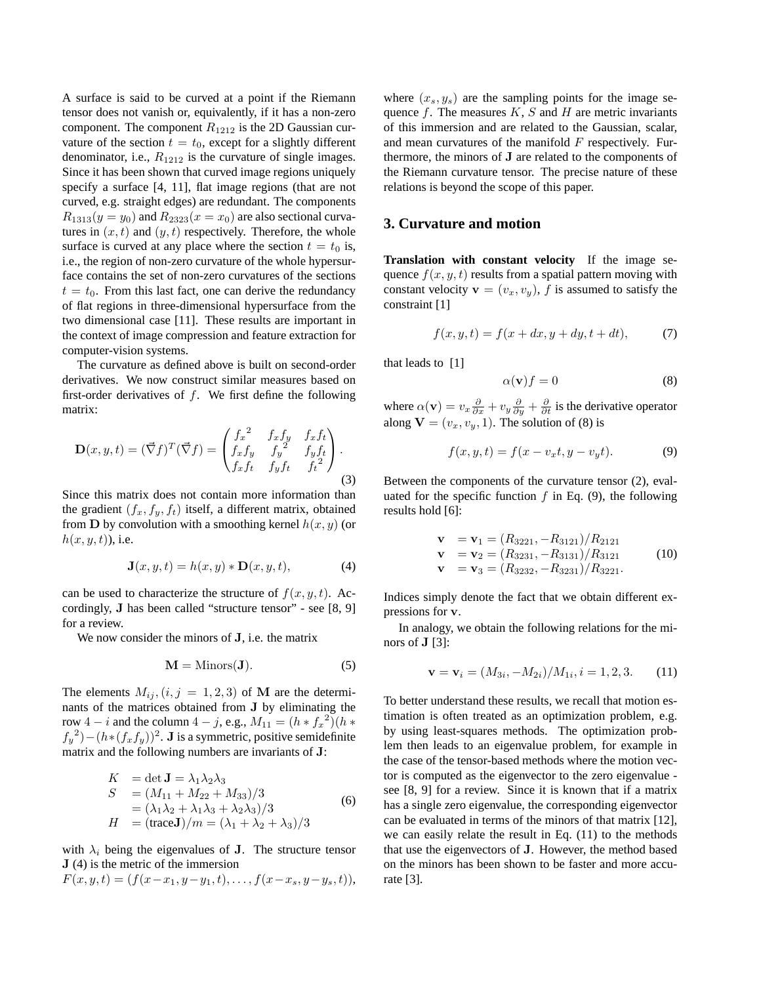A surface is said to be curved at a point if the Riemann tensor does not vanish or, equivalently, if it has a non-zero component. The component  $R_{1212}$  is the 2D Gaussian curvature of the section  $t = t_0$ , except for a slightly different denominator, i.e.,  $R_{1212}$  is the curvature of single images. Since it has been shown that curved image regions uniquely specify a surface [4, 11], flat image regions (that are not curved, e.g. straight edges) are redundant. The components  $R_{1313}(y = y_0)$  and  $R_{2323}(x = x_0)$  are also sectional curvatures in  $(x, t)$  and  $(y, t)$  respectively. Therefore, the whole surface is curved at any place where the section  $t = t_0$  is, i.e., the region of non-zero curvature of the whole hypersurface contains the set of non-zero curvatures of the sections  $t = t_0$ . From this last fact, one can derive the redundancy of flat regions in three-dimensional hypersurface from the two dimensional case [11]. These results are important in the context of image compression and feature extraction for computer-vision systems.

The curvature as defined above is built on second-order derivatives. We now construct similar measures based on first-order derivatives of  $f$ . We first define the following matrix:

$$
\mathbf{D}(x, y, t) = (\vec{\nabla} f)^T (\vec{\nabla} f) = \begin{pmatrix} f_x^2 & f_x f_y & f_x f_t \\ f_x f_y & f_y^2 & f_y f_t \\ f_x f_t & f_y f_t & f_t^2 \end{pmatrix}.
$$
\n(3)

Since this matrix does not contain more information than the gradient  $(f_x, f_y, f_t)$  itself, a different matrix, obtained from **D** by convolution with a smoothing kernel  $h(x, y)$  (or  $h(x, y, t)$ ), i.e.

$$
\mathbf{J}(x, y, t) = h(x, y) * \mathbf{D}(x, y, t), \tag{4}
$$

can be used to characterize the structure of  $f(x, y, t)$ . Accordingly, J has been called "structure tensor" - see [8, 9] for a review.

We now consider the minors of **J**, i.e. the matrix

$$
M = \text{Minors}(J). \tag{5}
$$

The elements  $M_{ij}$ ,  $(i, j = 1, 2, 3)$  of M are the determinants of the matrices obtained from J by eliminating the row 4 – *i* and the column 4 – *j*, e.g.,  $M_{11} = (h * f_x^2)(h *$  $f_y^2$ ) –  $(h*(f_xf_y))^2$ . **J** is a symmetric, positive semidefinite matrix and the following numbers are invariants of J:

$$
K = \det \mathbf{J} = \lambda_1 \lambda_2 \lambda_3
$$
  
\n
$$
S = (M_{11} + M_{22} + M_{33})/3
$$
  
\n
$$
= (\lambda_1 \lambda_2 + \lambda_1 \lambda_3 + \lambda_2 \lambda_3)/3
$$
  
\n
$$
H = (\text{trace}\mathbf{J})/m = (\lambda_1 + \lambda_2 + \lambda_3)/3
$$
\n(6)

with  $\lambda_i$  being the eigenvalues of **J**. The structure tensor J (4) is the metric of the immersion

$$
F(x, y, t) = (f(x-x_1, y-y_1, t), \dots, f(x-x_s, y-y_s, t)),
$$

where  $(x_s, y_s)$  are the sampling points for the image sequence  $f$ . The measures  $K$ ,  $S$  and  $H$  are metric invariants of this immersion and are related to the Gaussian, scalar, and mean curvatures of the manifold  $F$  respectively. Furthermore, the minors of J are related to the components of the Riemann curvature tensor. The precise nature of these relations is beyond the scope of this paper.

## **3. Curvature and motion**

**Translation with constant velocity** If the image sequence  $f(x, y, t)$  results from a spatial pattern moving with constant velocity  $\mathbf{v} = (v_x, v_y)$ , f is assumed to satisfy the constraint [1]

$$
f(x, y, t) = f(x + dx, y + dy, t + dt),
$$
 (7)

that leads to [1]

$$
\alpha(\mathbf{v})f = 0 \tag{8}
$$

where  $\alpha(\mathbf{v}) = v_x \frac{\partial}{\partial x} + v_y \frac{\partial}{\partial y} + \frac{\partial}{\partial t}$  is the derivative operator along  $V = (v_x, v_y, 1)$ . The solution of (8) is

$$
f(x, y, t) = f(x - v_x t, y - v_y t).
$$
 (9)

Between the components of the curvature tensor (2), evaluated for the specific function  $f$  in Eq. (9), the following results hold [6]:

$$
\mathbf{v} = \mathbf{v}_1 = (R_{3221}, -R_{3121})/R_{2121}
$$
  
\n
$$
\mathbf{v} = \mathbf{v}_2 = (R_{3231}, -R_{3131})/R_{3121}
$$
  
\n
$$
\mathbf{v} = \mathbf{v}_3 = (R_{3232}, -R_{3231})/R_{3221}.
$$
 (10)

Indices simply denote the fact that we obtain different expressions for v.

In analogy, we obtain the following relations for the minors of  $J$  [3]:

$$
\mathbf{v} = \mathbf{v}_i = (M_{3i}, -M_{2i})/M_{1i}, i = 1, 2, 3.
$$
 (11)

To better understand these results, we recall that motion estimation is often treated as an optimization problem, e.g. by using least-squares methods. The optimization problem then leads to an eigenvalue problem, for example in the case of the tensor-based methods where the motion vector is computed as the eigenvector to the zero eigenvalue see [8, 9] for a review. Since it is known that if a matrix has a single zero eigenvalue, the corresponding eigenvector can be evaluated in terms of the minors of that matrix [12], we can easily relate the result in Eq. (11) to the methods that use the eigenvectors of J. However, the method based on the minors has been shown to be faster and more accurate [3].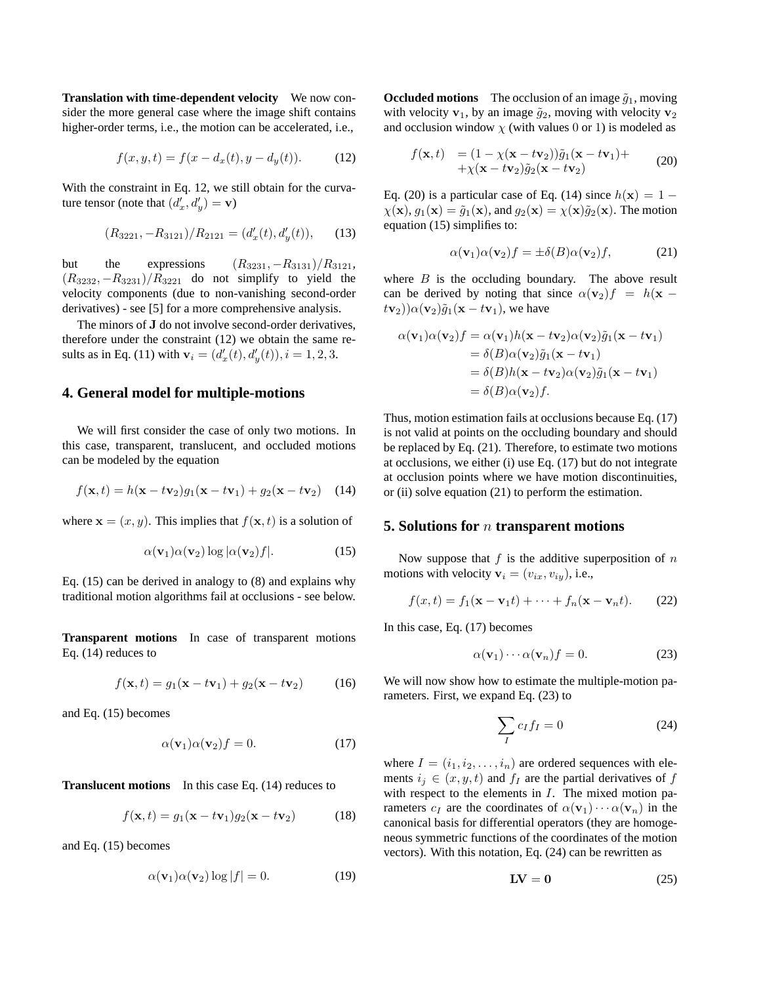**Translation with time-dependent velocity** We now consider the more general case where the image shift contains higher-order terms, i.e., the motion can be accelerated, i.e.,

$$
f(x, y, t) = f(x - d_x(t), y - d_y(t)).
$$
 (12)

With the constraint in Eq. 12, we still obtain for the curvature tensor (note that  $(d'_x, d'_y) = \mathbf{v}$ )

$$
(R_{3221}, -R_{3121})/R_{2121} = (d'_x(t), d'_y(t)), \qquad (13)
$$

but the expressions  $(R_{3231}, -R_{3131})/R_{3121}$ ,  $(R_{3232}, -R_{3231})/R_{3221}$  do not simplify to yield the velocity components (due to non-vanishing second-order derivatives) - see [5] for a more comprehensive analysis.

The minors of J do not involve second-order derivatives, therefore under the constraint (12) we obtain the same results as in Eq. (11) with  $\mathbf{v}_i = (d'_x(t), d'_y(t)), i = 1, 2, 3.$ 

# **4. General model for multiple-motions**

We will first consider the case of only two motions. In this case, transparent, translucent, and occluded motions can be modeled by the equation

$$
f(\mathbf{x},t) = h(\mathbf{x} - t\mathbf{v}_2)g_1(\mathbf{x} - t\mathbf{v}_1) + g_2(\mathbf{x} - t\mathbf{v}_2)
$$
 (14)

where  $\mathbf{x} = (x, y)$ . This implies that  $f(\mathbf{x}, t)$  is a solution of

$$
\alpha(\mathbf{v}_1)\alpha(\mathbf{v}_2)\log|\alpha(\mathbf{v}_2)f|.\tag{15}
$$

Eq. (15) can be derived in analogy to (8) and explains why traditional motion algorithms fail at occlusions - see below.

**Transparent motions** In case of transparent motions Eq. (14) reduces to

$$
f(\mathbf{x},t) = g_1(\mathbf{x} - t\mathbf{v}_1) + g_2(\mathbf{x} - t\mathbf{v}_2)
$$
 (16)

and Eq. (15) becomes

$$
\alpha(\mathbf{v}_1)\alpha(\mathbf{v}_2)f = 0. \tag{17}
$$

**Translucent motions** In this case Eq. (14) reduces to

$$
f(\mathbf{x},t) = g_1(\mathbf{x} - t\mathbf{v}_1)g_2(\mathbf{x} - t\mathbf{v}_2)
$$
 (18)

and Eq. (15) becomes

$$
\alpha(\mathbf{v}_1)\alpha(\mathbf{v}_2)\log|f| = 0. \tag{19}
$$

**Occluded motions** The occlusion of an image  $\tilde{q}_1$ , moving with velocity  $v_1$ , by an image  $\tilde{g}_2$ , moving with velocity  $v_2$ and occlusion window  $\chi$  (with values 0 or 1) is modeled as

$$
f(\mathbf{x},t) = (1 - \chi(\mathbf{x} - t\mathbf{v}_2))\tilde{g}_1(\mathbf{x} - t\mathbf{v}_1) ++ \chi(\mathbf{x} - t\mathbf{v}_2)\tilde{g}_2(\mathbf{x} - t\mathbf{v}_2)
$$
 (20)

Eq. (20) is a particular case of Eq. (14) since  $h(\mathbf{x}) = 1 \chi(\mathbf{x}), g_1(\mathbf{x}) = \tilde{g}_1(\mathbf{x}),$  and  $g_2(\mathbf{x}) = \chi(\mathbf{x})\tilde{g}_2(\mathbf{x})$ . The motion equation (15) simplifies to:

$$
\alpha(\mathbf{v}_1)\alpha(\mathbf{v}_2)f = \pm \delta(B)\alpha(\mathbf{v}_2)f,\tag{21}
$$

where  $B$  is the occluding boundary. The above result can be derived by noting that since  $\alpha(\mathbf{v}_2)f = h(\mathbf{x} (t\mathbf{v}_2)\hat{\alpha}(\mathbf{v}_2)\tilde{g}_1(\mathbf{x} - t\mathbf{v}_1)$ , we have

$$
\alpha(\mathbf{v}_1)\alpha(\mathbf{v}_2)f = \alpha(\mathbf{v}_1)h(\mathbf{x} - t\mathbf{v}_2)\alpha(\mathbf{v}_2)\tilde{g}_1(\mathbf{x} - t\mathbf{v}_1)
$$
  
=  $\delta(B)\alpha(\mathbf{v}_2)\tilde{g}_1(\mathbf{x} - t\mathbf{v}_1)$   
=  $\delta(B)h(\mathbf{x} - t\mathbf{v}_2)\alpha(\mathbf{v}_2)\tilde{g}_1(\mathbf{x} - t\mathbf{v}_1)$   
=  $\delta(B)\alpha(\mathbf{v}_2)f$ .

Thus, motion estimation fails at occlusions because Eq. (17) is not valid at points on the occluding boundary and should be replaced by Eq. (21). Therefore, to estimate two motions at occlusions, we either (i) use Eq. (17) but do not integrate at occlusion points where we have motion discontinuities, or (ii) solve equation (21) to perform the estimation.

# **5. Solutions for** n **transparent motions**

Now suppose that  $f$  is the additive superposition of  $n$ motions with velocity  $\mathbf{v}_i = (v_{ix}, v_{iy}),$  i.e.,

$$
f(x,t) = f_1(\mathbf{x} - \mathbf{v}_1 t) + \dots + f_n(\mathbf{x} - \mathbf{v}_n t). \tag{22}
$$

In this case, Eq. (17) becomes

$$
\alpha(\mathbf{v}_1)\cdots\alpha(\mathbf{v}_n)f = 0.
$$
 (23)

We will now show how to estimate the multiple-motion parameters. First, we expand Eq. (23) to

$$
\sum_{I} c_{I} f_{I} = 0 \tag{24}
$$

where  $I = (i_1, i_2, \dots, i_n)$  are ordered sequences with elements  $i_j \in (x, y, t)$  and  $f_I$  are the partial derivatives of f with respect to the elements in  $I$ . The mixed motion parameters  $c_I$  are the coordinates of  $\alpha(\mathbf{v}_1)\cdots\alpha(\mathbf{v}_n)$  in the canonical basis for differential operators (they are homogeneous symmetric functions of the coordinates of the motion vectors). With this notation, Eq. (24) can be rewritten as

$$
LV = 0 \tag{25}
$$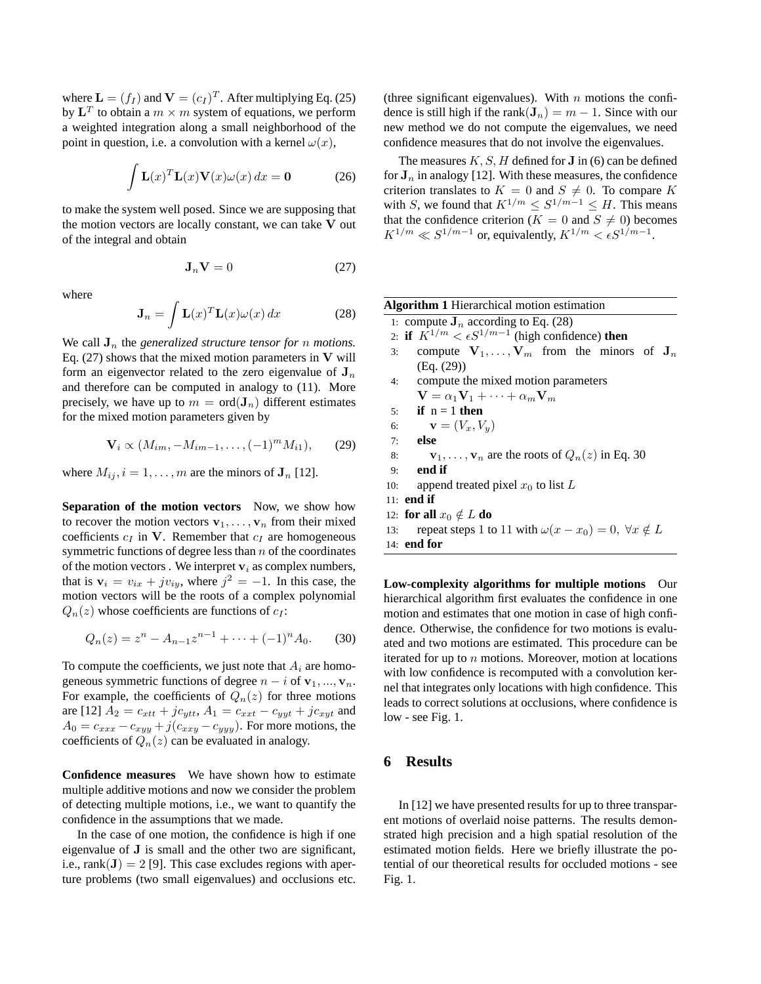where  $\mathbf{L} = (f_I)$  and  $\mathbf{V} = (c_I)^T$ . After multiplying Eq. (25) by  $\mathbf{L}^T$  to obtain a  $m \times m$  system of equations, we perform a weighted integration along a small neighborhood of the point in question, i.e. a convolution with a kernel  $\omega(x)$ ,

$$
\int \mathbf{L}(x)^T \mathbf{L}(x) \mathbf{V}(x) \omega(x) dx = \mathbf{0}
$$
 (26)

to make the system well posed. Since we are supposing that the motion vectors are locally constant, we can take V out of the integral and obtain

$$
\mathbf{J}_n \mathbf{V} = 0 \tag{27}
$$

where

$$
\mathbf{J}_n = \int \mathbf{L}(x)^T \mathbf{L}(x) \omega(x) \, dx \tag{28}
$$

We call  $J_n$  the *generalized structure tensor for* n *motions*. Eq.  $(27)$  shows that the mixed motion parameters in V will form an eigenvector related to the zero eigenvalue of  $J_n$ and therefore can be computed in analogy to (11). More precisely, we have up to  $m = \text{ord}(\mathbf{J}_n)$  different estimates for the mixed motion parameters given by

$$
\mathbf{V}_{i} \propto (M_{im}, -M_{im-1}, \dots, (-1)^{m} M_{i1}), \qquad (29)
$$

where  $M_{ij}$ ,  $i = 1, \ldots, m$  are the minors of  $J_n$  [12].

**Separation of the motion vectors** Now, we show how to recover the motion vectors  $v_1, \ldots, v_n$  from their mixed coefficients  $c_I$  in V. Remember that  $c_I$  are homogeneous symmetric functions of degree less than  $n$  of the coordinates of the motion vectors. We interpret  $v_i$  as complex numbers, that is  $v_i = v_{ix} + jv_{iy}$ , where  $j^2 = -1$ . In this case, the motion vectors will be the roots of a complex polynomial  $Q_n(z)$  whose coefficients are functions of  $c_I$ :

$$
Q_n(z) = z^n - A_{n-1}z^{n-1} + \dots + (-1)^n A_0.
$$
 (30)

To compute the coefficients, we just note that  $A_i$  are homogeneous symmetric functions of degree  $n - i$  of  $v_1, ..., v_n$ . For example, the coefficients of  $Q_n(z)$  for three motions are [12]  $A_2 = c_{xtt} + jc_{ytt}$ ,  $A_1 = c_{xxt} - c_{yyt} + jc_{xyt}$  and  $A_0 = c_{xxx} - c_{xyy} + j(c_{xxy} - c_{yyy})$ . For more motions, the coefficients of  $Q_n(z)$  can be evaluated in analogy.

**Confidence measures** We have shown how to estimate multiple additive motions and now we consider the problem of detecting multiple motions, i.e., we want to quantify the confidence in the assumptions that we made.

In the case of one motion, the confidence is high if one eigenvalue of J is small and the other two are significant, i.e., rank $(\mathbf{J}) = 2$  [9]. This case excludes regions with aperture problems (two small eigenvalues) and occlusions etc.

(three significant eigenvalues). With  $n$  motions the confidence is still high if the rank $(\mathbf{J}_n) = m - 1$ . Since with our new method we do not compute the eigenvalues, we need confidence measures that do not involve the eigenvalues.

The measures  $K, S, H$  defined for **J** in (6) can be defined for  $J_n$  in analogy [12]. With these measures, the confidence criterion translates to  $K = 0$  and  $S \neq 0$ . To compare K with S, we found that  $K^{1/m} \leq S^{1/m-1} \leq H$ . This means that the confidence criterion ( $K = 0$  and  $S \neq 0$ ) becomes  $K^{1/m} \ll S^{1/m-1}$  or, equivalently,  $K^{1/m} \lt \epsilon S^{1/m-1}$ .

| <b>Algorithm 1</b> Hierarchical motion estimation                              |  |  |  |
|--------------------------------------------------------------------------------|--|--|--|
| 1: compute $J_n$ according to Eq. (28)                                         |  |  |  |
| 2: if $K^{1/m} < \epsilon S^{1/m-1}$ (high confidence) then                    |  |  |  |
| compute $V_1, \ldots, V_m$ from the minors of $J_n$<br>3:                      |  |  |  |
| (Eq. (29))                                                                     |  |  |  |
| 4: compute the mixed motion parameters                                         |  |  |  |
| $\mathbf{V} = \alpha_1 \mathbf{V}_1 + \cdots + \alpha_m \mathbf{V}_m$          |  |  |  |
| if $n = 1$ then<br>5:                                                          |  |  |  |
| $\mathbf{v}=(V_x,V_y)$<br>6:                                                   |  |  |  |
| else<br>7:                                                                     |  |  |  |
| $\mathbf{v}_1, \ldots, \mathbf{v}_n$ are the roots of $Q_n(z)$ in Eq. 30<br>8: |  |  |  |
| end if<br>9:                                                                   |  |  |  |
| append treated pixel $x_0$ to list L<br>10:                                    |  |  |  |
| 11: end if                                                                     |  |  |  |
| 12: for all $x_0 \notin L$ do                                                  |  |  |  |
| repeat steps 1 to 11 with $\omega(x - x_0) = 0$ , $\forall x \notin L$<br>13:  |  |  |  |
| 14: end for                                                                    |  |  |  |

**Low-complexity algorithms for multiple motions** Our hierarchical algorithm first evaluates the confidence in one motion and estimates that one motion in case of high confidence. Otherwise, the confidence for two motions is evaluated and two motions are estimated. This procedure can be iterated for up to  $n$  motions. Moreover, motion at locations with low confidence is recomputed with a convolution kernel that integrates only locations with high confidence. This leads to correct solutions at occlusions, where confidence is low - see Fig. 1.

# **6 Results**

In [12] we have presented results for up to three transparent motions of overlaid noise patterns. The results demonstrated high precision and a high spatial resolution of the estimated motion fields. Here we briefly illustrate the potential of our theoretical results for occluded motions - see Fig. 1.